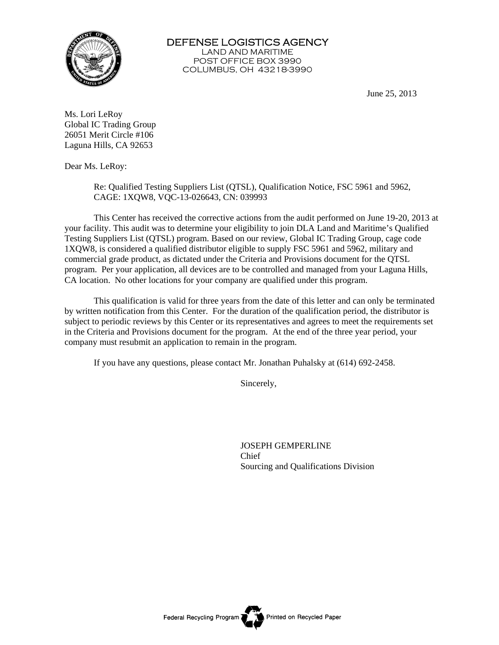

DEFENSE LOGISTICS AGENCY LAND AND MARITIME POST OFFICE BOX 3990 COLUMBUS, OH 43218-3990

June 25, 2013

Ms. Lori LeRoy Global IC Trading Group 26051 Merit Circle #106 Laguna Hills, CA 92653

Dear Ms. LeRoy:

Re: Qualified Testing Suppliers List (QTSL), Qualification Notice, FSC 5961 and 5962, CAGE: 1XQW8, VQC-13-026643, CN: 039993

 This Center has received the corrective actions from the audit performed on June 19-20, 2013 at your facility. This audit was to determine your eligibility to join DLA Land and Maritime's Qualified Testing Suppliers List (QTSL) program. Based on our review, Global IC Trading Group, cage code 1XQW8, is considered a qualified distributor eligible to supply FSC 5961 and 5962, military and commercial grade product, as dictated under the Criteria and Provisions document for the QTSL program. Per your application, all devices are to be controlled and managed from your Laguna Hills, CA location. No other locations for your company are qualified under this program.

This qualification is valid for three years from the date of this letter and can only be terminated by written notification from this Center. For the duration of the qualification period, the distributor is subject to periodic reviews by this Center or its representatives and agrees to meet the requirements set in the Criteria and Provisions document for the program. At the end of the three year period, your company must resubmit an application to remain in the program.

If you have any questions, please contact Mr. Jonathan Puhalsky at (614) 692-2458.

Sincerely,

 JOSEPH GEMPERLINE **Chief** Sourcing and Qualifications Division